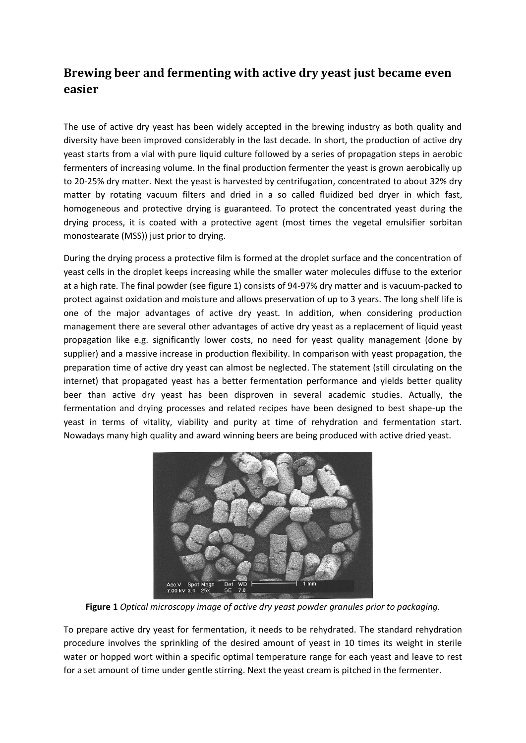## **Brewing beer and fermenting with active dry yeast just became even easier**

The use of active dry yeast has been widely accepted in the brewing industry as both quality and diversity have been improved considerably in the last decade*.* In short, the production of active dry yeast starts from a vial with pure liquid culture followed by a series of propagation steps in aerobic fermenters of increasing volume. In the final production fermenter the yeast is grown aerobically up to 20-25% dry matter. Next the yeast is harvested by centrifugation, concentrated to about 32% dry matter by rotating vacuum filters and dried in a so called fluidized bed dryer in which fast, homogeneous and protective drying is guaranteed. To protect the concentrated yeast during the drying process, it is coated with a protective agent (most times the vegetal emulsifier sorbitan monostearate (MSS)) just prior to drying.

During the drying process a protective film is formed at the droplet surface and the concentration of yeast cells in the droplet keeps increasing while the smaller water molecules diffuse to the exterior at a high rate. The final powder (see figure 1) consists of 94-97% dry matter and is vacuum-packed to protect against oxidation and moisture and allows preservation of up to 3 years. The long shelf life is one of the major advantages of active dry yeast. In addition, when considering production management there are several other advantages of active dry yeast as a replacement of liquid yeast propagation like e.g. significantly lower costs, no need for yeast quality management (done by supplier) and a massive increase in production flexibility. In comparison with yeast propagation, the preparation time of active dry yeast can almost be neglected. The statement (still circulating on the internet) that propagated yeast has a better fermentation performance and yields better quality beer than active dry yeast has been disproven in several academic studies. Actually, the fermentation and drying processes and related recipes have been designed to best shape-up the yeast in terms of vitality, viability and purity at time of rehydration and fermentation start. Nowadays many high quality and award winning beers are being produced with active dried yeast.



**Figure 1** *Optical microscopy image of active dry yeast powder granules prior to packaging.*

To prepare active dry yeast for fermentation, it needs to be rehydrated. The standard rehydration procedure involves the sprinkling of the desired amount of yeast in 10 times its weight in sterile water or hopped wort within a specific optimal temperature range for each yeast and leave to rest for a set amount of time under gentle stirring. Next the yeast cream is pitched in the fermenter.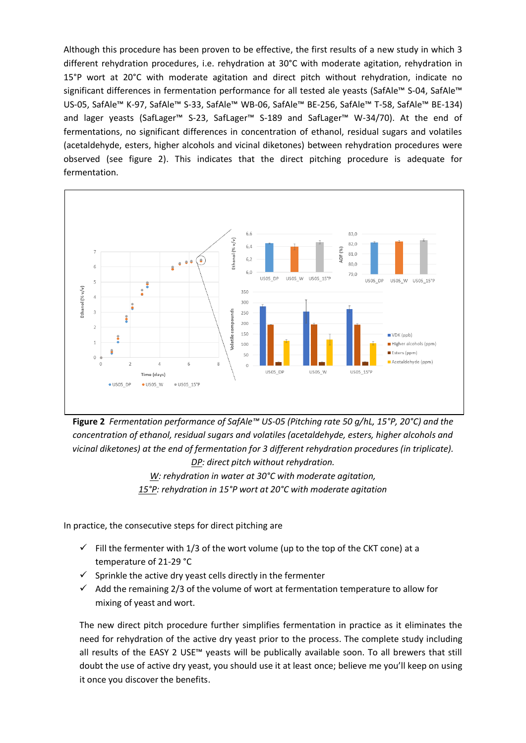Although this procedure has been proven to be effective, the first results of a new study in which 3 different rehydration procedures, i.e. rehydration at 30°C with moderate agitation, rehydration in 15°P wort at 20°C with moderate agitation and direct pitch without rehydration, indicate no significant differences in fermentation performance for all tested ale yeasts (SafAle™ S-04, SafAle™ US-05, SafAle™ K-97, SafAle™ S-33, SafAle™ WB-06, SafAle™ BE-256, SafAle™ T-58, SafAle™ BE-134) and lager yeasts (SafLager™ S-23, SafLager™ S-189 and SafLager™ W-34/70). At the end of fermentations, no significant differences in concentration of ethanol, residual sugars and volatiles (acetaldehyde, esters, higher alcohols and vicinal diketones) between rehydration procedures were observed (see figure 2). This indicates that the direct pitching procedure is adequate for fermentation.



**Figure 2** *Fermentation performance of SafAle™ US-05 (Pitching rate 50 g/hL, 15°P, 20°C) and the concentration of ethanol, residual sugars and volatiles (acetaldehyde, esters, higher alcohols and vicinal diketones) at the end of fermentation for 3 different rehydration procedures (in triplicate). DP: direct pitch without rehydration.*

> *W: rehydration in water at 30°C with moderate agitation, 15°P: rehydration in 15°P wort at 20°C with moderate agitation*

In practice, the consecutive steps for direct pitching are

- $\checkmark$  Fill the fermenter with 1/3 of the wort volume (up to the top of the CKT cone) at a temperature of 21-29 °C
- $\checkmark$  Sprinkle the active dry yeast cells directly in the fermenter
- $\checkmark$  Add the remaining 2/3 of the volume of wort at fermentation temperature to allow for mixing of yeast and wort.

The new direct pitch procedure further simplifies fermentation in practice as it eliminates the need for rehydration of the active dry yeast prior to the process. The complete study including all results of the EASY 2 USE™ yeasts will be publically available soon. To all brewers that still doubt the use of active dry yeast, you should use it at least once; believe me you'll keep on using it once you discover the benefits.